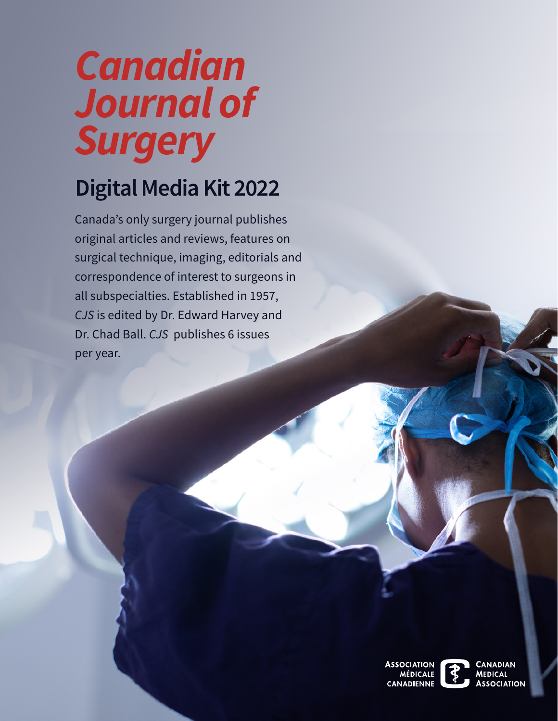# *Canadian Journal of Surgery*

# **Digital Media Kit 2022**

Canada's only surgery journal publishes original articles and reviews, features on surgical technique, imaging, editorials and correspondence of interest to surgeons in all subspecialties. Established in 1957, *CJS* is edited by Dr. Edward Harvey and Dr. Chad Ball. *CJS* publishes 6 issues per year.

> **SOCIATION IÉDICAI F CANADIENNE**

CANADIAN **MEDICAL ASSOCIATION**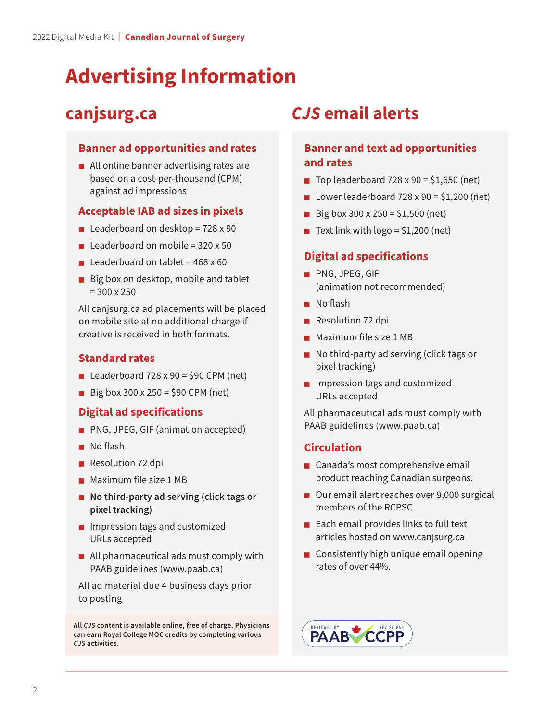## **Advertising Information**

### **canjsurg.ca**

### **Banner ad opportunities and rates**

 $\overline{1}$ ■ All online banner advertising rates are based on a cost-per-thousand (CPM) against ad impressions

### **Acceptable IAB ad sizes in pixels**

- Leaderboard on desktop =  $728 \times 90$
- Leaderboard on mobile =  $320 \times 50$
- **Leaderboard on tablet = 468 x 60**
- I ■ Big box on desktop, mobile and tablet  $= 300 \times 250$

All canjsurg.ca ad placements will be placed on mobile site at no additional charge if creative is received in both formats.

### **Standard rates**

- Leaderboard  $728 \times 90 = $90$  CPM (net)
- Big box 300 x 250 = \$90 CPM (net)

### **Digital ad specifications**

- PNG, JPEG, GIF (animation accepted)
- No flash
- Resolution 72 dpi
- Maximum file size 1 MB
- ■ **No third-party ad serving (click tags or pixel tracking)**
- $\overline{\phantom{a}}$ ■ Impression tags and customized URLs accepted
- $\overline{I}$ ■ All pharmaceutical ads must comply with PAAB guidelines (www.paab.ca)

 $\overline{1}$ All ad material due 4 business days prior to posting

**All** *CJS* **content is available online, free of charge. Physicians can earn Royal College MOC credits by completing various**  *CJS* **activities.** 

### *CJS* **email alerts**

### **Banner and text ad opportunities and rates**

- Top leaderboard  $728 \times 90 = $1,650$  (net)
- D Lower leaderboard  $728 \times 90 = $1,200$  (net)
- Big box 300 x 250 = \$1,500 (net)
- Text link with  $log_0 = $1,200$  (net)

### **Digital ad specifications**

- PNG, JPEG, GIF (animation not recommended)
- No flash
- Resolution 72 dpi
- Maximum file size 1 MB
- No third-party ad serving (click tags or pixel tracking)
- Impression tags and customized URLs accepted

 All pharmaceutical ads must comply with PAAB guidelines (www.paab.ca)

### **Circulation**

- Canada's most comprehensive email product reaching Canadian surgeons.
- Our email alert reaches over 9,000 surgical members of the RCPSC.
- Each email provides links to full text articles hosted on www.canjsurg.ca
- Consistently high unique email opening rates of over 44%.